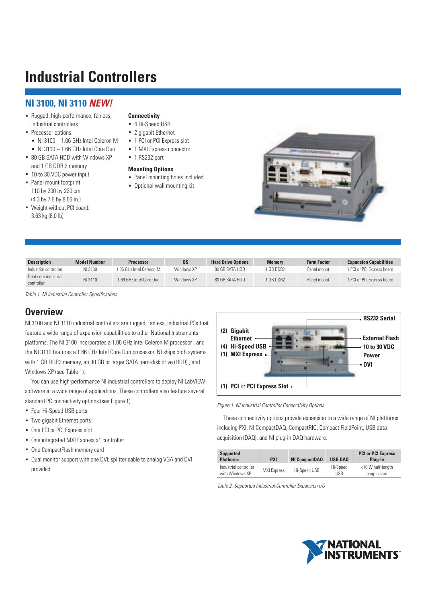# **NI 3100, NI 3110 NEW!**

- Rugged, high-performance, fanless, industrial controllers
- Processor options
	- NI 3100 1.06 GHz Intel Celeron M
- NI 3110 1.66 GHz Intel Core Duo ■ 80 GB SATA HDD with Windows XP
- and 1 GB DDR 2 memory
- 10 to 30 VDC power input
- Panel mount footprint, 110 by 200 by 220 cm (4.3 by 7.9 by 8.66 in.)
- Weight without PCI board: 3.63 kg (8.0 lb)

#### **Connectivity**

- 4 Hi-Speed USB
- 2 gigabit Ethernet
- 1 PCI or PCI Express slot
- 1 MXI Express connector
- 1 RS232 port

#### **Mounting Options**

- Panel mounting holes included
- Optional wall mounting kit



| <b>Description</b>                 | <b>Model Number</b> | <b>Processor</b>         | 0S         | <b>Hard Drive Options</b> | Memory    | <b>Form Factor</b> | <b>Expansion Capabilities</b> |
|------------------------------------|---------------------|--------------------------|------------|---------------------------|-----------|--------------------|-------------------------------|
| Industrial controller              | NI 3100             | 1.06 GHz Intel Celeron M | Windows XP | 80 GB SATA HDD            | 1 GB DDR2 | Panel mount        | 1 PCI or PCI Express board    |
| Dual-core industrial<br>controller | NI 3110             | 1.66 GHz Intel Core Duo  | Windows XP | 80 GB SATA HDD            | 1 GB DDR2 | Panel mount        | 1 PCI or PCI Express board    |

Table 1. NI Industrial Controller Specifications

## **Overview**

NI 3100 and NI 3110 industrial controllers are rugged, fanless, industrial PCs that feature a wide range of expansion capabilities to other National Instruments platforms. The NI 3100 incorporates a 1.06 GHz Intel Celeron M processor , and the NI 3110 features a 1.66 GHz Intel Core Duo processor. NI ships both systems with 1 GB DDR2 memory, an 80 GB or larger SATA hard-disk drive (HDD)., and Windows XP (see Table 1).

 You can use high-performance NI industrial controllers to deploy NI LabVIEW software in a wide range of applications. These controllers also feature several standard PC connectivity options (see Figure 1).

- Four Hi-Speed USB ports
- Two gigabit Ethernet ports
- One PCI or PCI Express slot
- One integrated MXI Express x1 controller
- One CompactFlash memory card
- Dual monitor support with one DVI; splitter cable to analog VGA and DVI provided



#### Figure 1. NI Industrial Controller Connectivity Options

 These connectivity options provide expansion to a wide range of NI platforms including PXI, NI CompactDAQ, CompactRIO, Compact FieldPoint, USB data acquisition (DAQ), and NI plug-in DAQ hardware.

| <b>Supported</b><br><b>Platforms</b>     | <b>PXI</b>         | <b>NI CompactDAQ</b> | <b>USB DAQ</b>  | <b>PCI or PCI Express</b><br>Plug-In |
|------------------------------------------|--------------------|----------------------|-----------------|--------------------------------------|
| Industrial controller<br>with Windows XP | <b>MXI Express</b> | Hi-Speed USB         | Hi-Speed<br>USB | <10 W half-length<br>plug-in card    |

Table 2. Supported Industrial Controller Expansion I/O

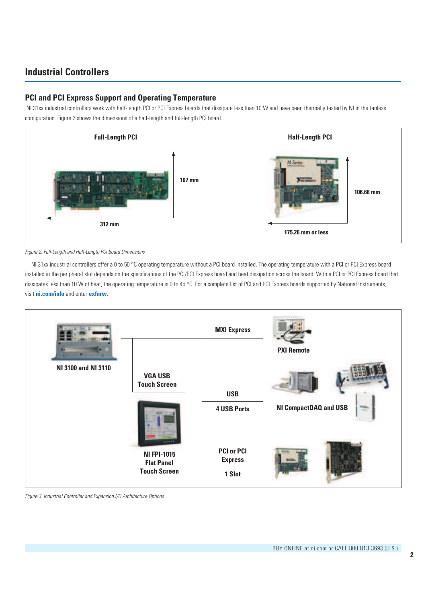## **PCI and PCI Express Support and Operating Temperature**

 NI 31xx industrial controllers work with half-length PCI or PCI Express boards that dissipate less than 10 W and have been thermally tested by NI in the fanless configuration. Figure 2 shows the dimensions of a half-length and full-length PCI board.



Figure 2. Full-Length and Half-Length PCI Board Dimensions

NI 31xx industrial controllers offer a 0 to 50 °C operating temperature without a PCI board installed. The operating temperature with a PCI or PCI Express board installed in the peripheral slot depends on the specifications of the PCI/PCI Express board and heat dissipation across the board. With a PCI or PCI Express board that dissipates less than 10 W of heat, the operating temperature is 0 to 45 °C. For a complete list of PCI and PCI Express boards supported by National Instruments, visit **ni.com/info** and enter **exfnrw**.



Figure 3. Industrial Controller and Expansion I/O Architecture Options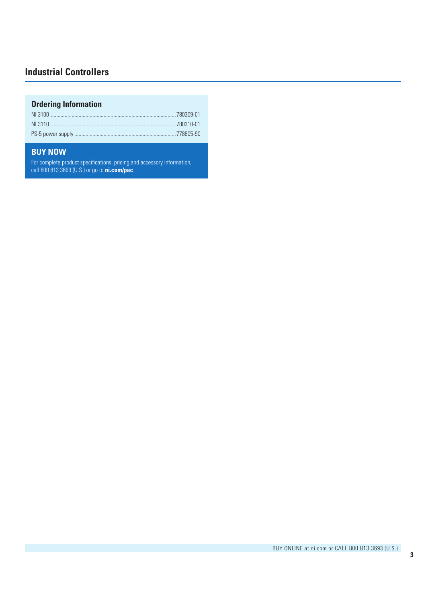# **Ordering Information**

# **BUY NOW**

For complete product specifications, pricing,and accessory information, call 800 813 3693 (U.S.) or go to **ni.com/pac**.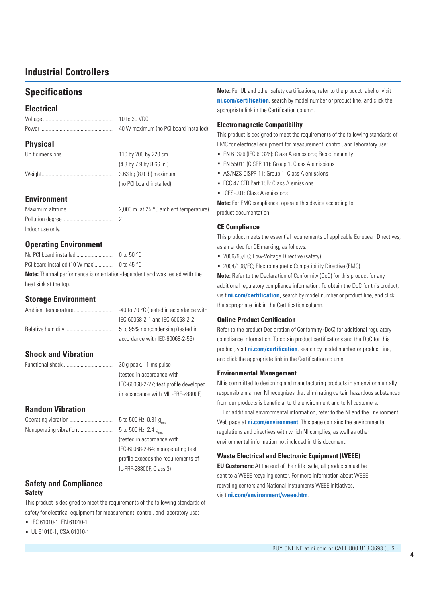# **Specifications**

### **Electrical**

| 10 to 30 VDC                          |
|---------------------------------------|
| 40 W maximum (no PCI board installed) |

## **Physical**

| 110 by 200 by 220 cm                                 |
|------------------------------------------------------|
| $(4.3 \text{ by } 7.9 \text{ by } 8.66 \text{ in.})$ |
| 3.63 kg (8.0 lb) maximum                             |
| (no PCI board installed)                             |

## **Environment**

|                  | 2,000 m (at 25 $\degree$ C ambient temperature) |
|------------------|-------------------------------------------------|
|                  |                                                 |
| Indoor use only. |                                                 |

## **Operating Environment**

|                                                                                   | 0 to 50 °C |  |  |
|-----------------------------------------------------------------------------------|------------|--|--|
|                                                                                   |            |  |  |
| <b>Note:</b> Thermal performance is orientation-dependent and was tested with the |            |  |  |
| heat sink at the top.                                                             |            |  |  |

## **Storage Environment**

| -40 to 70 $\degree$ C (tested in accordance with |
|--------------------------------------------------|
| IEC-60068-2-1 and IEC-60068-2-2)                 |
| 5 to 95% noncondensing (tested in                |
| accordance with IEC-60068-2-56)                  |

## **Shock and Vibration**

Functional shock.................................... 30 g peak, 11 ms pulse (tested in accordance with IEC-60068-2-27; test profile developed in accordance with MIL-PRF-28800F)

## **Random Vibration**

| Operating vibration    | 5 to 500 Hz, 0.31 $g_{\text{rms}}$ |
|------------------------|------------------------------------|
| Nonoperating vibration | 5 to 500 Hz, 2.4 $g_{rms}$         |
|                        | (tested in accordance with         |
|                        | IEC-60068-2-64; nonoperati         |
|                        |                                    |

rms operating test profile exceeds the requirements of IL-PRF-28800F, Class 3)

### **Safety and Compliance Safety**

This product is designed to meet the requirements of the following standards of safety for electrical equipment for measurement, control, and laboratory use:

- ◾ IEC 61010-1, EN 61010-1
- ◾ UL 61010-1, CSA 61010-1

**Note:** For UL and other safety certifications, refer to the product label or visit **ni.com/certification**, search by model number or product line, and click the appropriate link in the Certification column.

#### **Electromagnetic Compatibility**

This product is designed to meet the requirements of the following standards of EMC for electrical equipment for measurement, control, and laboratory use:

- EN 61326 (IEC 61326): Class A emissions; Basic immunity
- EN 55011 (CISPR 11): Group 1, Class A emissions
- AS/NZS CISPR 11: Group 1, Class A emissions
- FCC 47 CFR Part 15B: Class A emissions
- ICES-001: Class A emissions

**Note:** For EMC compliance, operate this device according to product documentation.

#### **CE Compliance**

This product meets the essential requirements of applicable European Directives, as amended for CE marking, as follows:

- 2006/95/EC; Low-Voltage Directive (safety)
- 2004/108/EC; Electromagnetic Compatibility Directive (EMC)

**Note:** Refer to the Declaration of Conformity (DoC) for this product for any additional regulatory compliance information. To obtain the DoC for this product, visit **ni.com/certification**, search by model number or product line, and click the appropriate link in the Certification column.

#### **Online Product Certification**

Refer to the product Declaration of Conformity (DoC) for additional regulatory compliance information. To obtain product certifications and the DoC for this product, visit **ni.com/certification**, search by model number or product line, and click the appropriate link in the Certification column.

#### **Environmental Management**

NI is committed to designing and manufacturing products in an environmentally responsible manner. NI recognizes that eliminating certain hazardous substances from our products is beneficial to the environment and to NI customers.

For additional environmental information, refer to the NI and the Environment Web page at **ni.com/environment**. This page contains the environmental regulations and directives with which NI complies, as well as other environmental information not included in this document.

#### **Waste Electrical and Electronic Equipment (WEEE)**

**EU Customers:** At the end of their life cycle, all products must be sent to a WEEE recycling center. For more information about WEEE recycling centers and National Instruments WEEE initiatives, visit **ni.com/environment/weee.htm**.